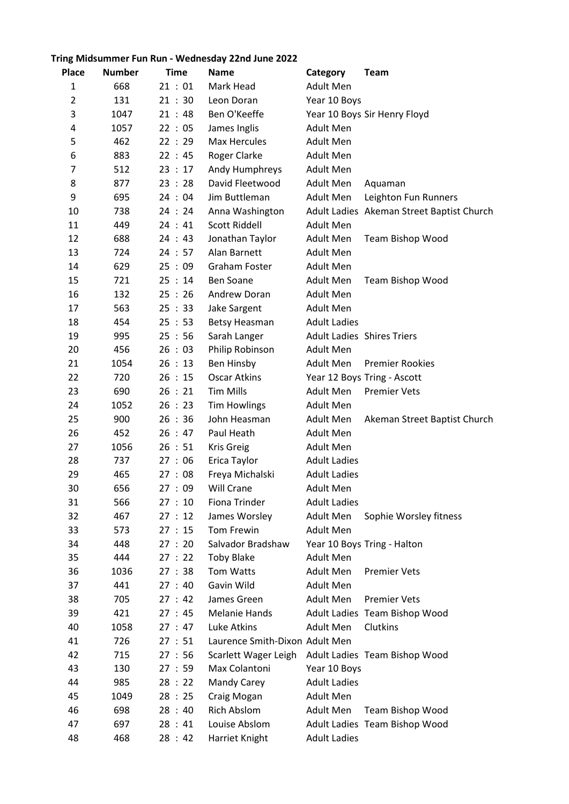## Tring Midsummer Fun Run - Wednesday 22nd June 2022

| <b>Place</b>   | <b>Number</b> | <b>Time</b> | <b>Name</b>                    | Category                          | <b>Team</b>                               |
|----------------|---------------|-------------|--------------------------------|-----------------------------------|-------------------------------------------|
| $\mathbf{1}$   | 668           | 21:01       | Mark Head                      | <b>Adult Men</b>                  |                                           |
| $\overline{2}$ | 131           | 21:30       | Leon Doran                     | Year 10 Boys                      |                                           |
| 3              | 1047          | 21:48       | Ben O'Keeffe                   |                                   | Year 10 Boys Sir Henry Floyd              |
| 4              | 1057          | 22:05       | James Inglis                   | Adult Men                         |                                           |
| 5              | 462           | 22:29       | Max Hercules                   | <b>Adult Men</b>                  |                                           |
| 6              | 883           | 22 : 45     | Roger Clarke                   | Adult Men                         |                                           |
| $\overline{7}$ | 512           | 23:17       | Andy Humphreys                 | Adult Men                         |                                           |
| 8              | 877           | 23:28       | David Fleetwood                | Adult Men                         | Aquaman                                   |
| 9              | 695           | 24:04       | Jim Buttleman                  | Adult Men                         | Leighton Fun Runners                      |
| 10             | 738           | 24:24       | Anna Washington                |                                   | Adult Ladies Akeman Street Baptist Church |
| 11             | 449           | 24:41       | Scott Riddell                  | <b>Adult Men</b>                  |                                           |
| 12             | 688           | 24:43       | Jonathan Taylor                | Adult Men                         | Team Bishop Wood                          |
| 13             | 724           | 24:57       | Alan Barnett                   | Adult Men                         |                                           |
| 14             | 629           | 25:09       | Graham Foster                  | Adult Men                         |                                           |
| 15             | 721           | 25:14       | <b>Ben Soane</b>               | Adult Men                         | Team Bishop Wood                          |
| 16             | 132           | 25:26       | Andrew Doran                   | Adult Men                         |                                           |
| 17             | 563           | 25 : 33     | Jake Sargent                   | Adult Men                         |                                           |
| 18             | 454           | 25 : 53     | <b>Betsy Heasman</b>           | <b>Adult Ladies</b>               |                                           |
| 19             | 995           | 25:56       | Sarah Langer                   | <b>Adult Ladies Shires Triers</b> |                                           |
| 20             | 456           | 26:03       | Philip Robinson                | Adult Men                         |                                           |
| 21             | 1054          | 26:13       | Ben Hinsby                     | Adult Men                         | <b>Premier Rookies</b>                    |
| 22             | 720           | 26:15       | <b>Oscar Atkins</b>            |                                   | Year 12 Boys Tring - Ascott               |
| 23             | 690           | 26:21       | <b>Tim Mills</b>               | Adult Men                         | <b>Premier Vets</b>                       |
| 24             | 1052          | 26:23       | <b>Tim Howlings</b>            | Adult Men                         |                                           |
| 25             | 900           | 26:36       | John Heasman                   | Adult Men                         | Akeman Street Baptist Church              |
| 26             | 452           | 26:47       | Paul Heath                     | Adult Men                         |                                           |
| 27             | 1056          | 26:51       | Kris Greig                     | Adult Men                         |                                           |
| 28             | 737           | 27:06       | Erica Taylor                   | <b>Adult Ladies</b>               |                                           |
| 29             | 465           | 27:08       | Freya Michalski                | <b>Adult Ladies</b>               |                                           |
| 30             | 656           | 27:09       | <b>Will Crane</b>              | <b>Adult Men</b>                  |                                           |
| 31             | 566           | 27:10       | Fiona Trinder                  | <b>Adult Ladies</b>               |                                           |
| 32             | 467           | 27:12       | James Worsley                  | Adult Men                         | Sophie Worsley fitness                    |
| 33             | 573           | 27:15       | Tom Frewin                     | Adult Men                         |                                           |
| 34             | 448           | 27:20       | Salvador Bradshaw              |                                   | Year 10 Boys Tring - Halton               |
| 35             | 444           | 27:22       | <b>Toby Blake</b>              | Adult Men                         |                                           |
| 36             | 1036          | 27:38       | Tom Watts                      | Adult Men                         | <b>Premier Vets</b>                       |
| 37             | 441           | 27:40       | Gavin Wild                     | Adult Men                         |                                           |
| 38             | 705           | 27:42       | James Green                    | Adult Men                         | <b>Premier Vets</b>                       |
| 39             | 421           | 27:45       | <b>Melanie Hands</b>           |                                   | Adult Ladies Team Bishop Wood             |
| 40             | 1058          | 27:47       | Luke Atkins                    | Adult Men                         | Clutkins                                  |
| 41             | 726           | 27:51       | Laurence Smith-Dixon Adult Men |                                   |                                           |
| 42             | 715           | 27:56       | Scarlett Wager Leigh           |                                   | Adult Ladies Team Bishop Wood             |
| 43             | 130           | 27:59       | Max Colantoni                  | Year 10 Boys                      |                                           |
| 44             | 985           | 28:22       | Mandy Carey                    | <b>Adult Ladies</b>               |                                           |
| 45             | 1049          | 28:25       | Craig Mogan                    | Adult Men                         |                                           |
| 46             | 698           | 28:40       | <b>Rich Abslom</b>             | Adult Men                         | Team Bishop Wood                          |
| 47             | 697           | 28:41       | Louise Abslom                  |                                   | Adult Ladies Team Bishop Wood             |
| 48             | 468           | 28:42       | Harriet Knight                 | <b>Adult Ladies</b>               |                                           |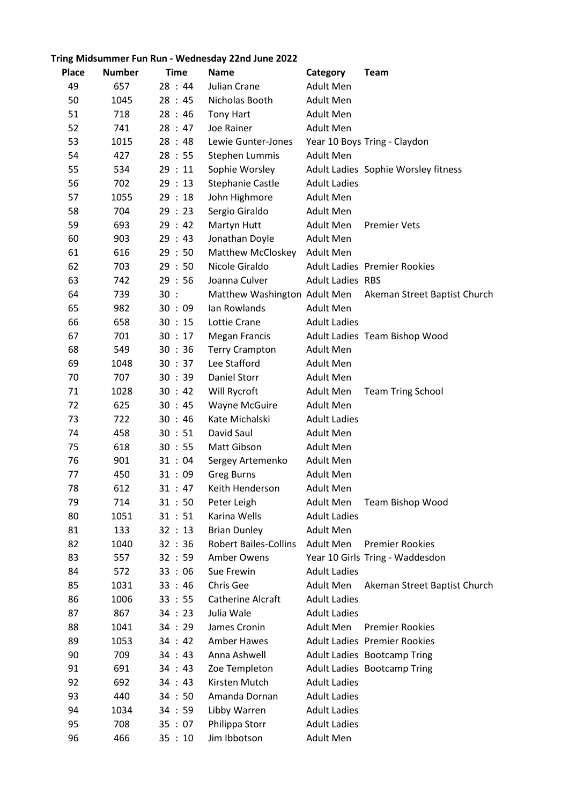## Tring Midsummer Fun Run - Wednesday 22nd June 2022

| <b>Place</b> | <b>Number</b> | <b>Time</b> | <b>Name</b>                  | Category                | <b>Team</b>                         |
|--------------|---------------|-------------|------------------------------|-------------------------|-------------------------------------|
| 49           | 657           | 28:44       | Julian Crane                 | Adult Men               |                                     |
| 50           | 1045          | 28:45       | Nicholas Booth               | <b>Adult Men</b>        |                                     |
| 51           | 718           | 28:46       | <b>Tony Hart</b>             | Adult Men               |                                     |
| 52           | 741           | 28:47       | Joe Rainer                   | <b>Adult Men</b>        |                                     |
| 53           | 1015          | 28:48       | Lewie Gunter-Jones           |                         | Year 10 Boys Tring - Claydon        |
| 54           | 427           | 28:55       | Stephen Lummis               | Adult Men               |                                     |
| 55           | 534           | 29:11       | Sophie Worsley               |                         | Adult Ladies Sophie Worsley fitness |
| 56           | 702           | 29:13       | <b>Stephanie Castle</b>      | <b>Adult Ladies</b>     |                                     |
| 57           | 1055          | 29:18       | John Highmore                | Adult Men               |                                     |
| 58           | 704           | 29:23       | Sergio Giraldo               | Adult Men               |                                     |
| 59           | 693           | 29:42       | Martyn Hutt                  | Adult Men               | <b>Premier Vets</b>                 |
| 60           | 903           | 29:43       | Jonathan Doyle               | <b>Adult Men</b>        |                                     |
| 61           | 616           | 29:50       | Matthew McCloskey            | <b>Adult Men</b>        |                                     |
| 62           | 703           | 29:50       | Nicole Giraldo               |                         | <b>Adult Ladies Premier Rookies</b> |
| 63           | 742           | 29:56       | Joanna Culver                | <b>Adult Ladies RBS</b> |                                     |
| 64           | 739           | 30:         | Matthew Washington Adult Men |                         | Akeman Street Baptist Church        |
| 65           | 982           | 30 : 09     | Ian Rowlands                 | Adult Men               |                                     |
| 66           | 658           | 30 : 15     | Lottie Crane                 | <b>Adult Ladies</b>     |                                     |
| 67           | 701           | 30 : 17     | <b>Megan Francis</b>         |                         | Adult Ladies Team Bishop Wood       |
| 68           | 549           | 30 : 36     | <b>Terry Crampton</b>        | Adult Men               |                                     |
| 69           | 1048          | 30 : 37     | Lee Stafford                 | <b>Adult Men</b>        |                                     |
| 70           | 707           | 30 : 39     | <b>Daniel Storr</b>          | <b>Adult Men</b>        |                                     |
| 71           | 1028          | 30 : 42     | Will Rycroft                 | Adult Men               | <b>Team Tring School</b>            |
| 72           | 625           | 30 : 45     | Wayne McGuire                | <b>Adult Men</b>        |                                     |
| 73           | 722           | 30 : 46     | Kate Michalski               | <b>Adult Ladies</b>     |                                     |
| 74           | 458           | 30 : 51     | David Saul                   | <b>Adult Men</b>        |                                     |
| 75           | 618           | 30 : 55     | Matt Gibson                  | <b>Adult Men</b>        |                                     |
| 76           | 901           | 31 : 04     | Sergey Artemenko             | Adult Men               |                                     |
| 77           | 450           | 31:09       | <b>Greg Burns</b>            | Adult Men               |                                     |
| 78           | 612           | 31 : 47     | Keith Henderson              | <b>Adult Men</b>        |                                     |
| 79           | 714           | 31 : 50     | Peter Leigh                  | Adult Men               | Team Bishop Wood                    |
| 80           | 1051          | 31 : 51     | Karina Wells                 | <b>Adult Ladies</b>     |                                     |
| 81           | 133           | 32 : 13     | <b>Brian Dunley</b>          | Adult Men               |                                     |
| 82           | 1040          | 32 : 36     | <b>Robert Bailes-Collins</b> | <b>Adult Men</b>        | <b>Premier Rookies</b>              |
| 83           | 557           | 32 : 59     | Amber Owens                  |                         | Year 10 Girls Tring - Waddesdon     |
| 84           | 572           | 33:06       | Sue Frewin                   | <b>Adult Ladies</b>     |                                     |
| 85           | 1031          | 33 : 46     | Chris Gee                    | Adult Men               | Akeman Street Baptist Church        |
| 86           | 1006          | 33 : 55     | Catherine Alcraft            | <b>Adult Ladies</b>     |                                     |
| 87           | 867           | 34 : 23     | Julia Wale                   | <b>Adult Ladies</b>     |                                     |
| 88           | 1041          | 34 : 29     | James Cronin                 | <b>Adult Men</b>        | <b>Premier Rookies</b>              |
| 89           | 1053          | 34:42       | Amber Hawes                  |                         | <b>Adult Ladies Premier Rookies</b> |
| 90           | 709           | 34 : 43     | Anna Ashwell                 |                         | Adult Ladies Bootcamp Tring         |
| 91           | 691           | 34 : 43     | Zoe Templeton                |                         | Adult Ladies Bootcamp Tring         |
| 92           | 692           | 34 : 43     | Kirsten Mutch                | <b>Adult Ladies</b>     |                                     |
| 93           | 440           | 34:50       | Amanda Dornan                | <b>Adult Ladies</b>     |                                     |
| 94           | 1034          | 34 : 59     | Libby Warren                 | <b>Adult Ladies</b>     |                                     |
| 95           | 708           | 35:07       | Philippa Storr               | <b>Adult Ladies</b>     |                                     |
| 96           | 466           | 35:10       | Jim Ibbotson                 | Adult Men               |                                     |